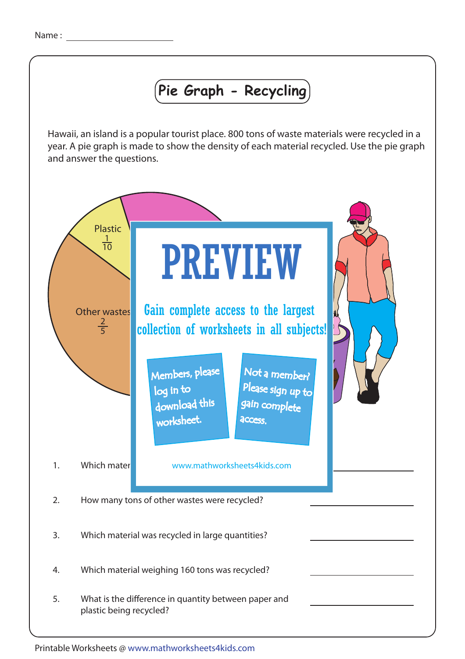